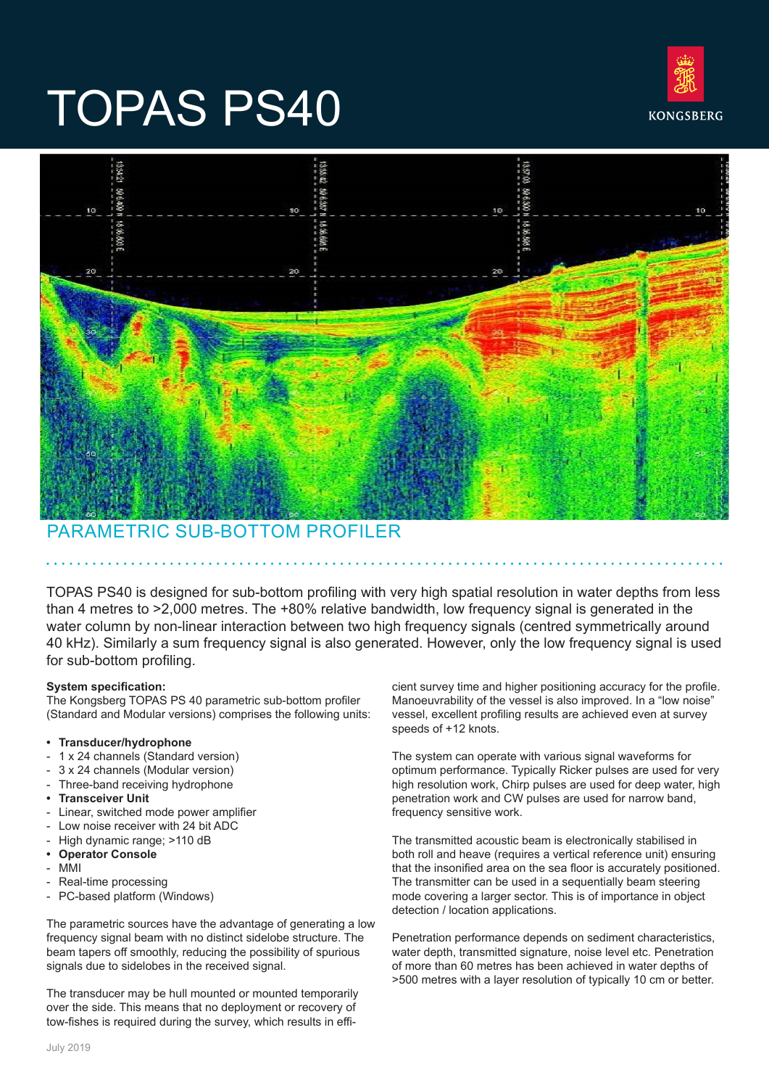

# TOPAS PS40



## PARAMETRIC SUB-BOTTOM PROFILER

TOPAS PS40 is designed for sub-bottom profiling with very high spatial resolution in water depths from less than 4 metres to >2,000 metres. The +80% relative bandwidth, low frequency signal is generated in the water column by non-linear interaction between two high frequency signals (centred symmetrically around 40 kHz). Similarly a sum frequency signal is also generated. However, only the low frequency signal is used for sub-bottom profiling.

### **System specification:**

The Kongsberg TOPAS PS 40 parametric sub-bottom profiler (Standard and Modular versions) comprises the following units:

#### **• Transducer/hydrophone**

- 1 x 24 channels (Standard version)
- 3 x 24 channels (Modular version)
- Three-band receiving hydrophone
- **• Transceiver Unit**
- Linear, switched mode power amplifier
- Low noise receiver with 24 bit ADC
- High dynamic range; >110 dB
- **• Operator Console**
- MMI
- Real-time processing
- PC-based platform (Windows)

The parametric sources have the advantage of generating a low frequency signal beam with no distinct sidelobe structure. The beam tapers off smoothly, reducing the possibility of spurious signals due to sidelobes in the received signal.

The transducer may be hull mounted or mounted temporarily over the side. This means that no deployment or recovery of tow-fishes is required during the survey, which results in efficient survey time and higher positioning accuracy for the profile. Manoeuvrability of the vessel is also improved. In a "low noise" vessel, excellent profiling results are achieved even at survey speeds of +12 knots.

The system can operate with various signal waveforms for optimum performance. Typically Ricker pulses are used for very high resolution work, Chirp pulses are used for deep water, high penetration work and CW pulses are used for narrow band, frequency sensitive work.

The transmitted acoustic beam is electronically stabilised in both roll and heave (requires a vertical reference unit) ensuring that the insonified area on the sea floor is accurately positioned. The transmitter can be used in a sequentially beam steering mode covering a larger sector. This is of importance in object detection / location applications.

Penetration performance depends on sediment characteristics, water depth, transmitted signature, noise level etc. Penetration of more than 60 metres has been achieved in water depths of >500 metres with a layer resolution of typically 10 cm or better.